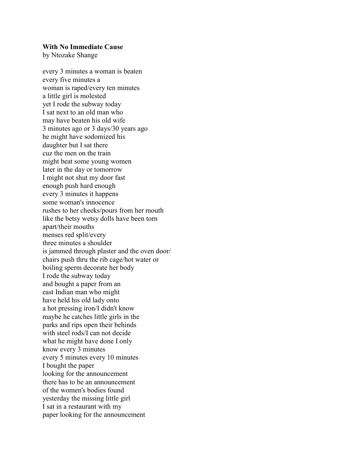## With No Immediate Cause

by Ntozake Shange

every 3 minutes a woman is beaten every five minutes a woman is raped/every ten minutes a little girl is molested yet I rode the subway today I sat next to an old man who may have beaten his old wife 3 minutes ago or 3 days/30 years ago he might have sodomized his daughter but I sat there cuz the men on the train might beat some young women later in the day or tomorrow I might not shut my door fast enough push hard enough every 3 minutes it happens some woman's innocence rushes to her cheeks/pours from her mouth like the betsy wetsy dolls have been torn apart/their mouths menses red split/every three minutes a shoulder is jammed through plaster and the oven door/ chairs push thru the rib cage/hot water or boiling sperm decorate her body I rode the subway today and bought a paper from an east Indian man who might have held his old lady onto a hot pressing iron/I didn't know maybe he catches little girls in the parks and rips open their behinds with steel rods/I can not decide what he might have done I only know every 3 minutes every 5 minutes every 10 minutes I bought the paper looking for the announcement there has to be an announcement of the women's bodies found yesterday the missing little girl I sat in a restaurant with my paper looking for the announcement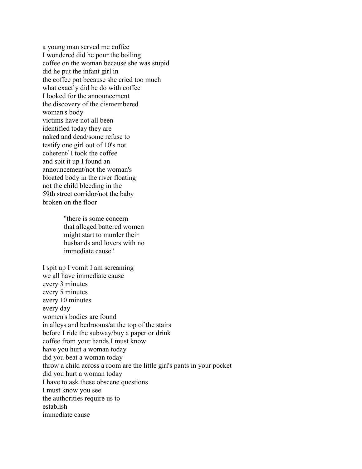a young man served me coffee I wondered did he pour the boiling coffee on the woman because she was stupid did he put the infant girl in the coffee pot because she cried too much what exactly did he do with coffee I looked for the announcement the discovery of the dismembered woman's body victims have not all been identified today they are naked and dead/some refuse to testify one girl out of 10's not coherent/ I took the coffee and spit it up I found an announcement/not the woman's bloated body in the river floating not the child bleeding in the 59th street corridor/not the baby broken on the floor

> "there is some concern that alleged battered women might start to murder their husbands and lovers with no immediate cause"

I spit up I vomit I am screaming we all have immediate cause every 3 minutes every 5 minutes every 10 minutes every day women's bodies are found in alleys and bedrooms/at the top of the stairs before I ride the subway/buy a paper or drink coffee from your hands I must know have you hurt a woman today did you beat a woman today throw a child across a room are the little girl's pants in your pocket did you hurt a woman today I have to ask these obscene questions I must know you see the authorities require us to establish immediate cause